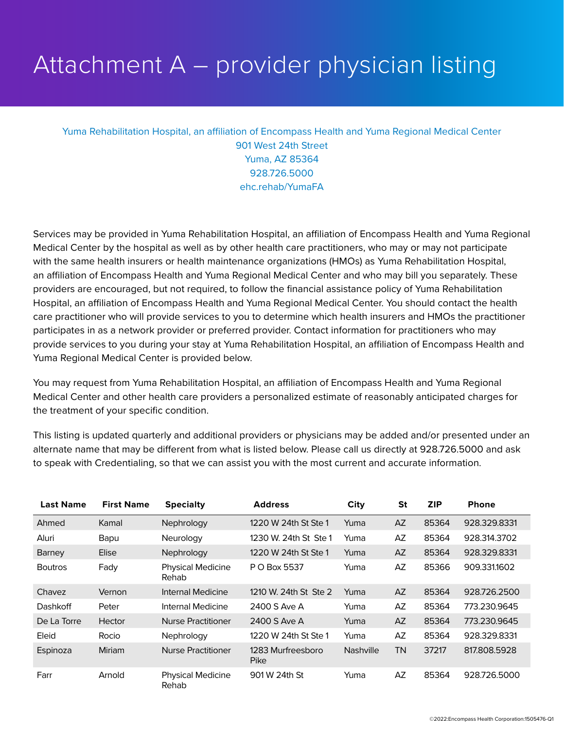## Attachment A – provider physician listing

## Yuma Rehabilitation Hospital, an affiliation of Encompass Health and Yuma Regional Medical Center 901 West 24th Street Yuma, AZ 85364 928.726.5000 ehc.rehab/YumaFA

Services may be provided in Yuma Rehabilitation Hospital, an affiliation of Encompass Health and Yuma Regional Medical Center by the hospital as well as by other health care practitioners, who may or may not participate with the same health insurers or health maintenance organizations (HMOs) as Yuma Rehabilitation Hospital, an affiliation of Encompass Health and Yuma Regional Medical Center and who may bill you separately. These providers are encouraged, but not required, to follow the financial assistance policy of Yuma Rehabilitation Hospital, an affiliation of Encompass Health and Yuma Regional Medical Center. You should contact the health care practitioner who will provide services to you to determine which health insurers and HMOs the practitioner participates in as a network provider or preferred provider. Contact information for practitioners who may provide services to you during your stay at Yuma Rehabilitation Hospital, an affiliation of Encompass Health and Yuma Regional Medical Center is provided below.

You may request from Yuma Rehabilitation Hospital, an affiliation of Encompass Health and Yuma Regional Medical Center and other health care providers a personalized estimate of reasonably anticipated charges for the treatment of your specific condition.

This listing is updated quarterly and additional providers or physicians may be added and/or presented under an alternate name that may be different from what is listed below. Please call us directly at 928.726.5000 and ask to speak with Credentialing, so that we can assist you with the most current and accurate information.

| <b>Last Name</b> | <b>First Name</b> | <b>Specialty</b>                         | <b>Address</b>            | <b>City</b>      | <b>St</b> | <b>ZIP</b> | <b>Phone</b> |
|------------------|-------------------|------------------------------------------|---------------------------|------------------|-----------|------------|--------------|
| Ahmed            | Kamal             | Nephrology                               | 1220 W 24th St Ste 1      | Yuma             | AZ        | 85364      | 928.329.8331 |
| Aluri            | Bapu              | Neurology                                | 1230 W. 24th St Ste 1     | Yuma             | AZ        | 85364      | 928.314.3702 |
| Barney           | Elise             | Nephrology                               | 1220 W 24th St Ste 1      | Yuma             | AZ.       | 85364      | 928.329.8331 |
| <b>Boutros</b>   | Fady              | <b>Physical Medicine</b><br><b>Rehab</b> | P O Box 5537              | Yuma             | AZ        | 85366      | 909.331.1602 |
| Chavez           | Vernon            | Internal Medicine                        | 1210 W. 24th St Ste 2     | Yuma             | AZ        | 85364      | 928.726.2500 |
| <b>Dashkoff</b>  | Peter             | Internal Medicine                        | 2400 S Ave A              | Yuma             | AZ        | 85364      | 773.230.9645 |
| De La Torre      | Hector            | <b>Nurse Practitioner</b>                | 2400 S Ave A              | Yuma             | AZ        | 85364      | 773.230.9645 |
| Eleid            | Rocio             | Nephrology                               | 1220 W 24th St Ste 1      | Yuma             | AZ        | 85364      | 928.329.8331 |
| Espinoza         | Miriam            | <b>Nurse Practitioner</b>                | 1283 Murfreesboro<br>Pike | <b>Nashville</b> | <b>TN</b> | 37217      | 817.808.5928 |
| Farr             | Arnold            | <b>Physical Medicine</b><br>Rehab        | 901 W 24th St             | Yuma             | AZ        | 85364      | 928.726.5000 |